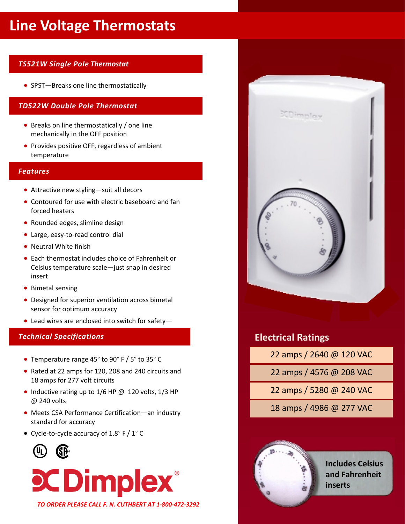# **Line Voltage Thermostats**

## *TS521W Single Pole Thermostat*

· SPST—Breaks one line thermostatically

#### *TD522W Double Pole Thermostat*

- · Breaks on line thermostatically / one line mechanically in the OFF position
- · Provides positive OFF, regardless of ambient temperature

#### *Features*

- Attractive new styling—suit all decors
- · Contoured for use with electric baseboard and fan forced heaters
- Rounded edges, slimline design
- · Large, easy-to-read control dial
- · Neutral White finish
- · Each thermostat includes choice of Fahrenheit or Celsius temperature scale—just snap in desired insert
- · Bimetal sensing
- · Designed for superior ventilation across bimetal sensor for optimum accuracy
- Lead wires are enclosed into switch for safety-

#### *Technical Specifications*

- · Temperature range 45° to 90° F / 5° to 35° C
- · Rated at 22 amps for 120, 208 and 240 circuits and 18 amps for 277 volt circuits
- Inductive rating up to 1/6 HP @ 120 volts, 1/3 HP @ 240 volts
- · Meets CSA Performance Certification—an industry standard for accuracy
- · Cycle-to-cycle accuracy of 1.8° F / 1° C





*TO ORDER PLEASE CALL F. N. CUTHBERT AT 1-800-472-3292* 



# **Electrical Ratings**

- 22 amps / 2640 @ 120 VAC
- 22 amps / 4576 @ 208 VAC
- 22 amps / 5280 @ 240 VAC
- 18 amps / 4986 @ 277 VAC



**Includes Celsius and Fahrenheit inserts**